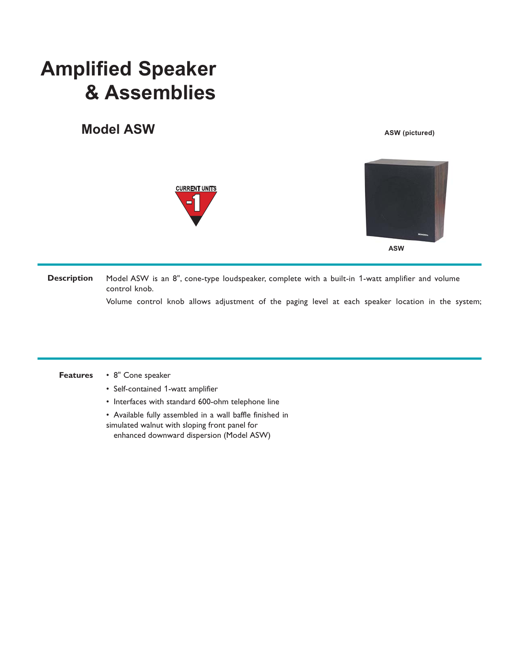## **Amplified Speaker & Assemblies**

## **Model ASW**



**ASW (pictured)**



Model ASW is an 8", cone-type loudspeaker, complete with a built-in 1-watt amplifier and volume control knob. **Description**

Volume control knob allows adjustment of the paging level at each speaker location in the system;

• 8" Cone speaker **Features**

- Self-contained 1-watt amplifier
- Interfaces with standard 600-ohm telephone line

• Available fully assembled in a wall baffle finished in simulated walnut with sloping front panel for enhanced downward dispersion (Model ASW)